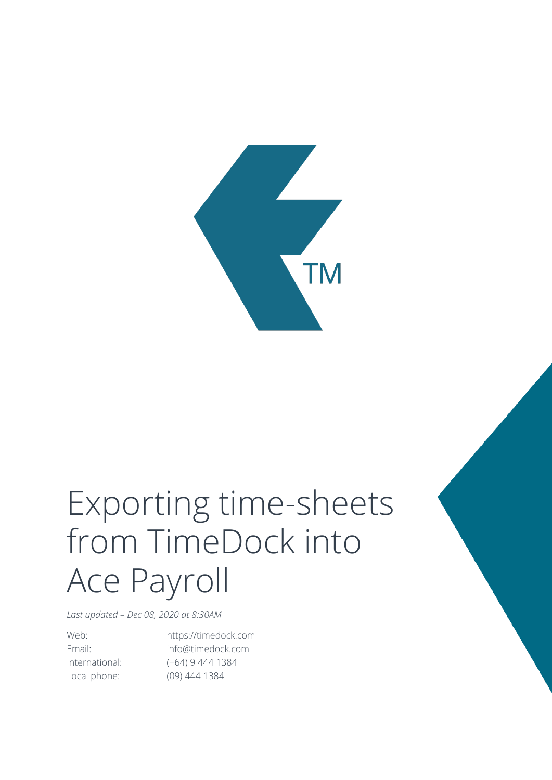

## Exporting time-sheets from TimeDock into Ace Payroll

*Last updated – Dec 08, 2020 at 8:30AM*

Web: https://timedock.com Email: info@timedock.com International: (+64) 9 444 1384 Local phone: (09) 444 1384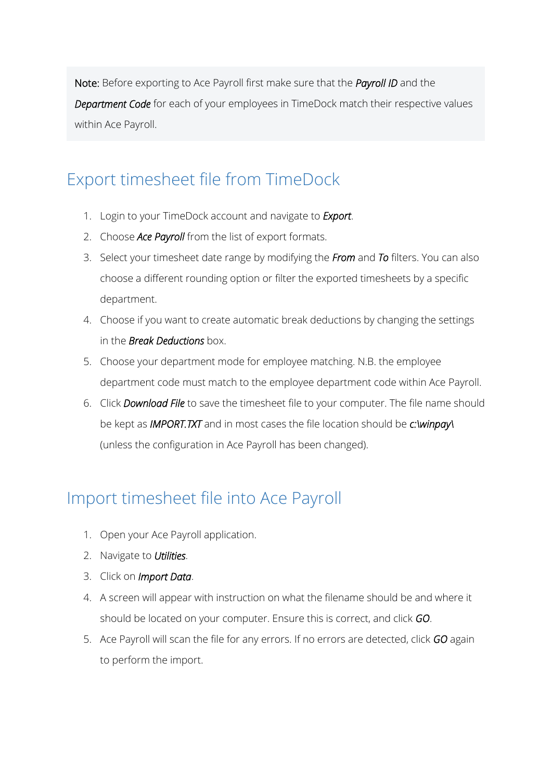Note: Before exporting to Ace Payroll first make sure that the *Payroll ID* and the *Department Code* for each of your employees in TimeDock match their respective values within Ace Payroll.

## Export timesheet file from TimeDock

- 1. Login to your TimeDock account and navigate to *Export*.
- 2. Choose *Ace Payroll* from the list of export formats.
- 3. Select your timesheet date range by modifying the *From* and *To* filters. You can also choose a different rounding option or filter the exported timesheets by a specific department.
- 4. Choose if you want to create automatic break deductions by changing the settings in the *Break Deductions* box.
- 5. Choose your department mode for employee matching. N.B. the employee department code must match to the employee department code within Ace Payroll.
- 6. Click *Download File* to save the timesheet file to your computer. The file name should be kept as *IMPORT.TXT* and in most cases the file location should be *c:\winpay\* (unless the configuration in Ace Payroll has been changed).

## Import timesheet file into Ace Payroll

- 1. Open your Ace Payroll application.
- 2. Navigate to *Utilities*.
- 3. Click on *Import Data*.
- 4. A screen will appear with instruction on what the filename should be and where it should be located on your computer. Ensure this is correct, and click *GO*.
- 5. Ace Payroll will scan the file for any errors. If no errors are detected, click *GO* again to perform the import.